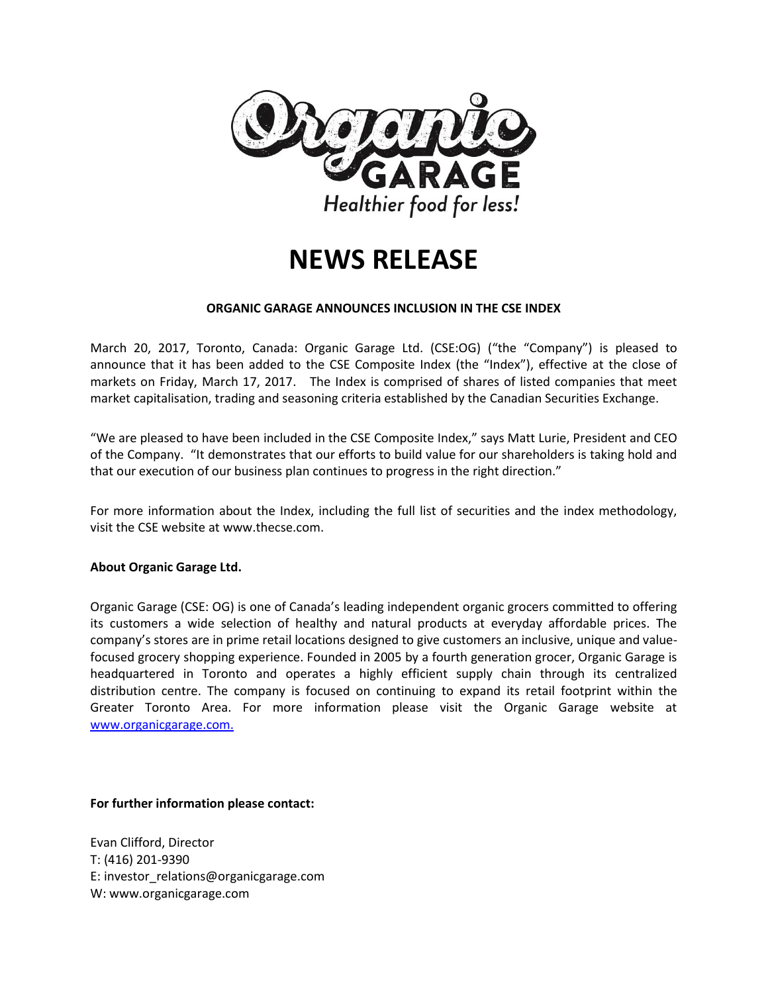

# **NEWS RELEASE**

### **ORGANIC GARAGE ANNOUNCES INCLUSION IN THE CSE INDEX**

March 20, 2017, Toronto, Canada: Organic Garage Ltd. (CSE:OG) ("the "Company") is pleased to announce that it has been added to the CSE Composite Index (the "Index"), effective at the close of markets on Friday, March 17, 2017. The Index is comprised of shares of listed companies that meet market capitalisation, trading and seasoning criteria established by the Canadian Securities Exchange.

"We are pleased to have been included in the CSE Composite Index," says Matt Lurie, President and CEO of the Company. "It demonstrates that our efforts to build value for our shareholders is taking hold and that our execution of our business plan continues to progress in the right direction."

For more information about the Index, including the full list of securities and the index methodology, visit the CSE website at www.thecse.com.

### **About Organic Garage Ltd.**

Organic Garage (CSE: OG) is one of Canada's leading independent organic grocers committed to offering its customers a wide selection of healthy and natural products at everyday affordable prices. The company's stores are in prime retail locations designed to give customers an inclusive, unique and valuefocused grocery shopping experience. Founded in 2005 by a fourth generation grocer, Organic Garage is headquartered in Toronto and operates a highly efficient supply chain through its centralized distribution centre. The company is focused on continuing to expand its retail footprint within the Greater Toronto Area. For more information please visit the Organic Garage website at [www.organicgarage.com.](http://www.organicgarage.com/)

### **For further information please contact:**

Evan Clifford, Director T: (416) 201-9390 E: investor\_relations@organicgarage.com W: www.organicgarage.com